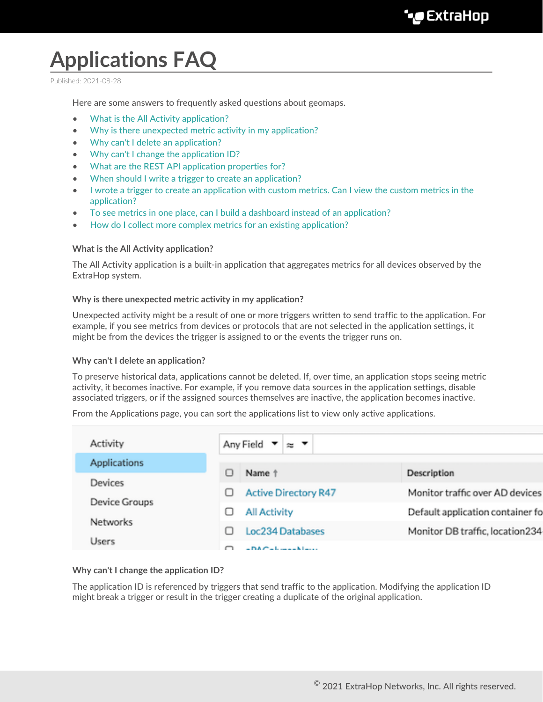# **Applications FAQ**

Published: 2021-08-28

Here are some answers to frequently asked questions about geomaps.

- [What is the All Activity application?](#page-0-0)
- [Why is there unexpected metric activity in my application?](#page-0-1)
- [Why can't I delete an application?](#page-0-2)
- [Why can't I change the application ID?](#page-0-3)
- [What are the REST API application properties for?](#page-1-0)
- [When should I write a trigger to create an application?](#page-1-1)
- [I wrote a trigger to create an application with custom metrics. Can I view the custom metrics in the](#page-1-2) [application?](#page-1-2)
- [To see metrics in one place, can I build a dashboard instead of an application?](#page-1-3)
- <span id="page-0-0"></span>• [How do I collect more complex metrics for an existing application?](#page-1-4)

## **What is the All Activity application?**

The All Activity application is a built-in application that aggregates metrics for all devices observed by the ExtraHop system.

## <span id="page-0-1"></span>**Why is there unexpected metric activity in my application?**

Unexpected activity might be a result of one or more triggers written to send traffic to the application. For example, if you see metrics from devices or protocols that are not selected in the application settings, it might be from the devices the trigger is assigned to or the events the trigger runs on.

## <span id="page-0-2"></span>**Why can't I delete an application?**

To preserve historical data, applications cannot be deleted. If, over time, an application stops seeing metric activity, it becomes inactive. For example, if you remove data sources in the application settings, disable associated triggers, or if the assigned sources themselves are inactive, the application becomes inactive.

From the Applications page, you can sort the applications list to view only active applications.

| Any Field $\tau \approx \tau$ |                                                                                 |
|-------------------------------|---------------------------------------------------------------------------------|
|                               |                                                                                 |
|                               | Description                                                                     |
|                               | Monitor traffic over AD devices                                                 |
|                               |                                                                                 |
| All Activity                  | Default application container fo                                                |
|                               |                                                                                 |
|                               | Monitor DB traffic, location234                                                 |
|                               |                                                                                 |
|                               | Name 1<br><b>Active Directory R47</b><br>Loc234 Databases<br>$-DA$ Column March |

## <span id="page-0-3"></span>**Why can't I change the application ID?**

The application ID is referenced by triggers that send traffic to the application. Modifying the application ID might break a trigger or result in the trigger creating a duplicate of the original application.